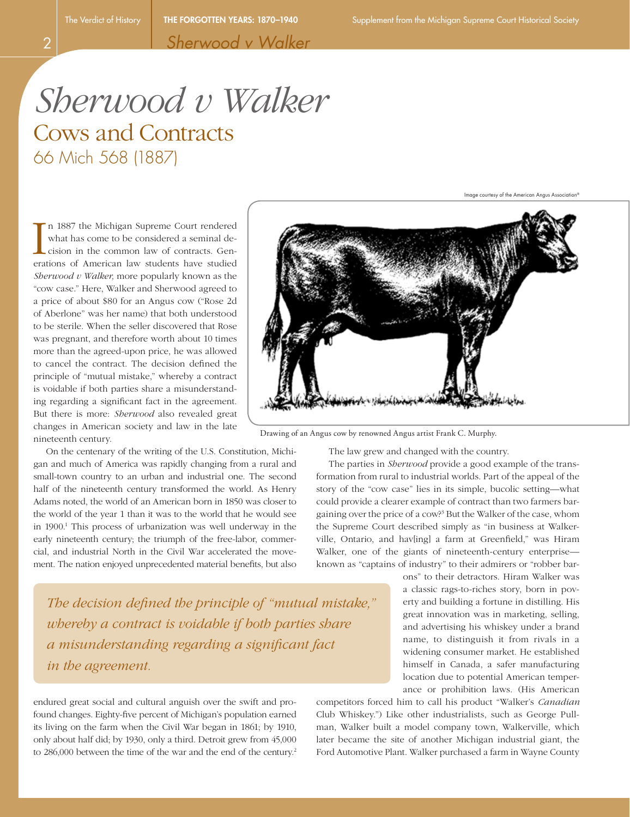$\overline{\mathcal{L}}$ 

age courtesy of the American Angus Association

*Sherwood v Walker*

## *Sherwood v Walker* Cows and Contracts 66 Mich 568 (1887)

In 1887 the Michigan Supreme Court rendered<br>what has come to be considered a seminal de-<br>cision in the common law of contracts. Generations of American law students have studied n 1887 the Michigan Supreme Court rendered what has come to be considered a seminal decision in the common law of contracts. Gen-*Sherwood v Walker,* more popularly known as the "cow case." Here, Walker and Sherwood agreed to a price of about \$80 for an Angus cow ("Rose 2d of Aberlone" was her name) that both understood to be sterile. When the seller discovered that Rose was pregnant, and therefore worth about 10 times more than the agreed-upon price, he was allowed to cancel the contract. The decision defined the principle of "mutual mistake," whereby a contract is voidable if both parties share a misunderstanding regarding a significant fact in the agreement. But there is more: *Sherwood* also revealed great changes in American society and law in the late nineteenth century.

On the centenary of the writing of the U.S. Constitution, Michigan and much of America was rapidly changing from a rural and small-town country to an urban and industrial one. The second half of the nineteenth century transformed the world. As Henry Adams noted, the world of an American born in 1850 was closer to the world of the year 1 than it was to the world that he would see in 1900.1 This process of urbanization was well underway in the early nineteenth century; the triumph of the free-labor, commercial, and industrial North in the Civil War accelerated the movement. The nation enjoyed unprecedented material benefits, but also

*The decision defined the principle of "mutual mistake," whereby a contract is voidable if both parties share a misunderstanding regarding a significant fact in the agreement.* 

endured great social and cultural anguish over the swift and profound changes. Eighty-five percent of Michigan's population earned its living on the farm when the Civil War began in 1861; by 1910, only about half did; by 1930, only a third. Detroit grew from 45,000 to 286,000 between the time of the war and the end of the century.<sup>2</sup>



Drawing of an Angus cow by renowned Angus artist Frank C. Murphy.

The law grew and changed with the country.

The parties in *Sherwood* provide a good example of the transformation from rural to industrial worlds. Part of the appeal of the story of the "cow case" lies in its simple, bucolic setting—what could provide a clearer example of contract than two farmers bargaining over the price of a cow?<sup>3</sup> But the Walker of the case, whom the Supreme Court described simply as "in business at Walkerville, Ontario, and hav[ing] a farm at Greenfield," was Hiram Walker, one of the giants of nineteenth-century enterprise known as "captains of industry" to their admirers or "robber bar-

> ons" to their detractors. Hiram Walker was a classic rags-to-riches story, born in poverty and building a fortune in distilling. His great innovation was in marketing, selling, and advertising his whiskey under a brand name, to distinguish it from rivals in a widening consumer market. He established himself in Canada, a safer manufacturing location due to potential American temperance or prohibition laws. (His American

competitors forced him to call his product "Walker's *Canadian* Club Whiskey.") Like other industrialists, such as George Pullman, Walker built a model company town, Walkerville, which later became the site of another Michigan industrial giant, the Ford Automotive Plant. Walker purchased a farm in Wayne County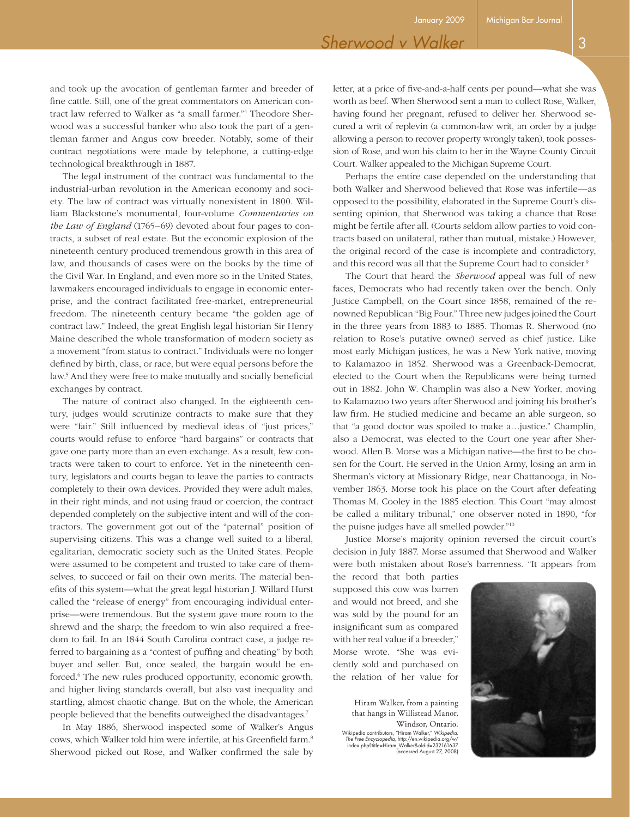## *Sherwood v Walker*

and took up the avocation of gentleman farmer and breeder of fine cattle. Still, one of the great commentators on American contract law referred to Walker as "a small farmer."4 Theodore Sherwood was a successful banker who also took the part of a gentleman farmer and Angus cow breeder. Notably, some of their contract negotiations were made by telephone, a cutting-edge technological breakthrough in 1887.

The legal instrument of the contract was fundamental to the industrial-urban revolution in the American economy and society. The law of contract was virtually nonexistent in 1800. William Blackstone's monumental, four-volume *Commentaries on the Law of England* (1765–69) devoted about four pages to contracts, a subset of real estate. But the economic explosion of the nineteenth century produced tremendous growth in this area of law, and thousands of cases were on the books by the time of the Civil War. In England, and even more so in the United States, lawmakers encouraged individuals to engage in economic enterprise, and the contract facilitated free-market, entrepreneurial freedom. The nineteenth century became "the golden age of contract law." Indeed, the great English legal historian Sir Henry Maine described the whole transformation of modern society as a movement "from status to contract." Individuals were no longer defined by birth, class, or race, but were equal persons before the law.5 And they were free to make mutually and socially beneficial exchanges by contract.

The nature of contract also changed. In the eighteenth century, judges would scrutinize contracts to make sure that they were "fair." Still influenced by medieval ideas of "just prices," courts would refuse to enforce "hard bargains" or contracts that gave one party more than an even exchange. As a result, few contracts were taken to court to enforce. Yet in the nineteenth century, legislators and courts began to leave the parties to contracts completely to their own devices. Provided they were adult males, in their right minds, and not using fraud or coercion, the contract depended completely on the subjective intent and will of the contractors. The government got out of the "paternal" position of supervising citizens. This was a change well suited to a liberal, egalitarian, democratic society such as the United States. People were assumed to be competent and trusted to take care of themselves, to succeed or fail on their own merits. The material benefits of this system—what the great legal historian J. Willard Hurst called the "release of energy" from encouraging individual enterprise—were tremendous. But the system gave more room to the shrewd and the sharp; the freedom to win also required a freedom to fail. In an 1844 South Carolina contract case, a judge referred to bargaining as a "contest of puffing and cheating" by both buyer and seller. But, once sealed, the bargain would be enforced.<sup>6</sup> The new rules produced opportunity, economic growth, and higher living standards overall, but also vast inequality and startling, almost chaotic change. But on the whole, the American people believed that the benefits outweighed the disadvantages.7

In May 1886, Sherwood inspected some of Walker's Angus cows, which Walker told him were infertile, at his Greenfield farm.8 Sherwood picked out Rose, and Walker confirmed the sale by letter, at a price of five-and-a-half cents per pound—what she was worth as beef. When Sherwood sent a man to collect Rose, Walker, having found her pregnant, refused to deliver her. Sherwood secured a writ of replevin (a common-law writ, an order by a judge allowing a person to recover property wrongly taken), took possession of Rose, and won his claim to her in the Wayne County Circuit Court. Walker appealed to the Michigan Supreme Court.

Perhaps the entire case depended on the understanding that both Walker and Sherwood believed that Rose was infertile—as opposed to the possibility, elaborated in the Supreme Court's dissenting opinion, that Sherwood was taking a chance that Rose might be fertile after all. (Courts seldom allow parties to void contracts based on unilateral, rather than mutual, mistake.) However, the original record of the case is incomplete and contradictory, and this record was all that the Supreme Court had to consider.<sup>9</sup>

The Court that heard the *Sherwood* appeal was full of new faces, Democrats who had recently taken over the bench. Only Justice Campbell, on the Court since 1858, remained of the renowned Republican "Big Four." Three new judges joined the Court in the three years from 1883 to 1885. Thomas R. Sherwood (no relation to Rose's putative owner) served as chief justice. Like most early Michigan justices, he was a New York native, moving to Kalamazoo in 1852. Sherwood was a Greenback-Democrat, elected to the Court when the Republicans were being turned out in 1882. John W. Champlin was also a New Yorker, moving to Kalamazoo two years after Sherwood and joining his brother's law firm. He studied medicine and became an able surgeon, so that "a good doctor was spoiled to make a…justice." Champlin, also a Democrat, was elected to the Court one year after Sherwood. Allen B. Morse was a Michigan native—the first to be chosen for the Court. He served in the Union Army, losing an arm in Sherman's victory at Missionary Ridge, near Chattanooga, in November 1863. Morse took his place on the Court after defeating Thomas M. Cooley in the 1885 election. This Court "may almost be called a military tribunal," one observer noted in 1890, "for the puisne judges have all smelled powder."10

Justice Morse's majority opinion reversed the circuit court's decision in July 1887. Morse assumed that Sherwood and Walker were both mistaken about Rose's barrenness. "It appears from

the record that both parties supposed this cow was barren and would not breed, and she was sold by the pound for an insignificant sum as compared with her real value if a breeder," Morse wrote. "She was evidently sold and purchased on the relation of her value for

Hiram Walker, from a painting that hangs in Willistead Manor, Windsor, Ontario. Wikipedia contributors, "Hiram Walker," *Wikipedia, The Free Encyclopedia,* http://en.wikipedia.org/w/ index.php?title=Hiram\_Walker&oldid=232161637 (accessed August 27, 2008)

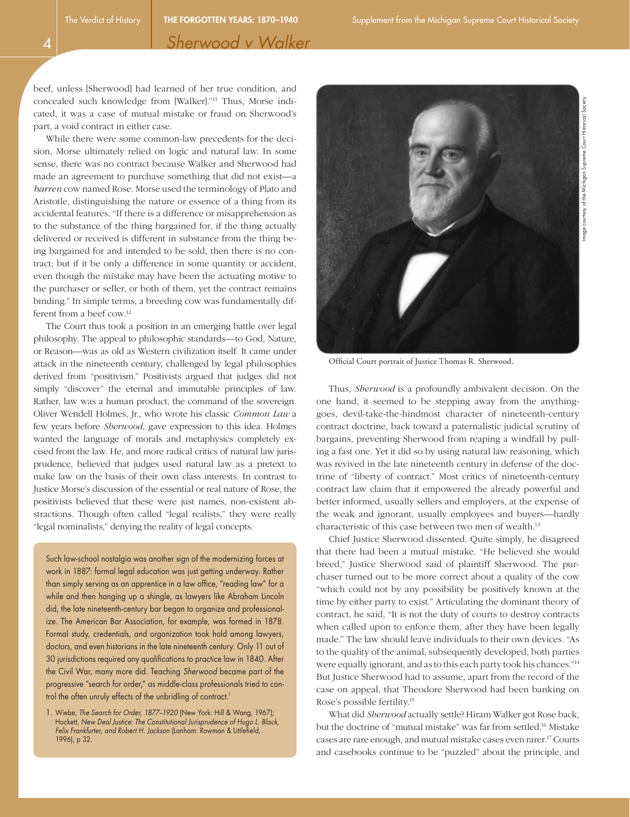beef, unless [Sherwood] had learned of her true condition, and concealed such knowledge from [Walker]."11 Thus, Morse indicated, it was a case of mutual mistake or fraud on Sherwood's part, a void contract in either case.

While there were some common-law precedents for the decision, Morse ultimately relied on logic and natural law. In some sense, there was no contract because Walker and Sherwood had made an agreement to purchase something that did not exist—a *barren* cow named Rose. Morse used the terminology of Plato and Aristotle, distinguishing the nature or essence of a thing from its accidental features. "If there is a difference or misapprehension as to the substance of the thing bargained for, if the thing actually delivered or received is different in substance from the thing being bargained for and intended to be sold, then there is no contract; but if it be only a difference in some quantity or accident, even though the mistake may have been the actuating motive to the purchaser or seller, or both of them, yet the contract remains binding." In simple terms, a breeding cow was fundamentally different from a beef cow.12

The Court thus took a position in an emerging battle over legal philosophy. The appeal to philosophic standards—to God, Nature, or Reason—was as old as Western civilization itself. It came under attack in the nineteenth century, challenged by legal philosophies derived from "positivism." Positivists argued that judges did not simply "discover" the eternal and immutable principles of law. Rather, law was a human product, the command of the sovereign. Oliver Wendell Holmes, Jr., who wrote his classic *Common Law* a few years before *Sherwood,* gave expression to this idea. Holmes wanted the language of morals and metaphysics completely excised from the law. He, and more radical critics of natural law jurisprudence, believed that judges used natural law as a pretext to make law on the basis of their own class interests. In contrast to Justice Morse's discussion of the essential or real nature of Rose, the positivists believed that these were just names, non-existent abstractions. Though often called "legal realists," they were really "legal nominalists," denying the reality of legal concepts.

Such law-school nostalgia was another sign of the modernizing forces at work in 1887: formal legal education was just getting underway. Rather than simply serving as an apprentice in a law office, "reading law" for a while and then hanging up a shingle, as lawyers like Abraham Lincoln did, the late nineteenth-century bar began to organize and professionalize. The American Bar Association, for example, was formed in 1878. Formal study, credentials, and organization took hold among lawyers, doctors, and even historians in the late nineteenth century. Only 11 out of 30 jurisdictions required any qualifications to practice law in 1840. After the Civil War, many more did. Teaching *Sherwood* became part of the progressive "search for order," as middle-class professionals tried to control the often unruly effects of the unbridling of contract.<sup>1</sup>

1. Wiebe, *The Search for Order, 1877–1920* (New York: Hill & Wang, 1967); Hockett, *New Deal Justice: The Constitutional Jurisprudence of Hugo L. Black, Felix Frankfurter, and Robert H. Jackson* (Lanham: Rowman & Littlefield, 1996), p 32.



Official Court portrait of Justice Thomas R. Sherwood.

Thus, *Sherwood* is a profoundly ambivalent decision. On the one hand, it seemed to be stepping away from the anythinggoes, devil-take-the-hindmost character of nineteenth-century contract doctrine, back toward a paternalistic judicial scrutiny of bargains, preventing Sherwood from reaping a windfall by pulling a fast one. Yet it did so by using natural law reasoning, which was revived in the late nineteenth century in defense of the doctrine of "liberty of contract." Most critics of nineteenth-century contract law claim that it empowered the already powerful and better informed, usually sellers and employers, at the expense of the weak and ignorant, usually employees and buyers—hardly characteristic of this case between two men of wealth.<sup>13</sup>

Chief Justice Sherwood dissented. Quite simply, he disagreed that there had been a mutual mistake. "He believed she would breed," Justice Sherwood said of plaintiff Sherwood. The purchaser turned out to be more correct about a quality of the cow "which could not by any possibility be positively known at the time by either party to exist." Articulating the dominant theory of contract, he said, "It is not the duty of courts to destroy contracts when called upon to enforce them, after they have been legally made." The law should leave individuals to their own devices. "As to the quality of the animal, subsequently developed, both parties were equally ignorant, and as to this each party took his chances."<sup>14</sup> But Justice Sherwood had to assume, apart from the record of the case on appeal, that Theodore Sherwood had been banking on Rose's possible fertility.15

What did *Sherwood* actually settle? Hiram Walker got Rose back, but the doctrine of "mutual mistake" was far from settled.16 Mistake cases are rare enough, and mutual mistake cases even rarer.17 Courts and casebooks continue to be "puzzled" about the principle, and